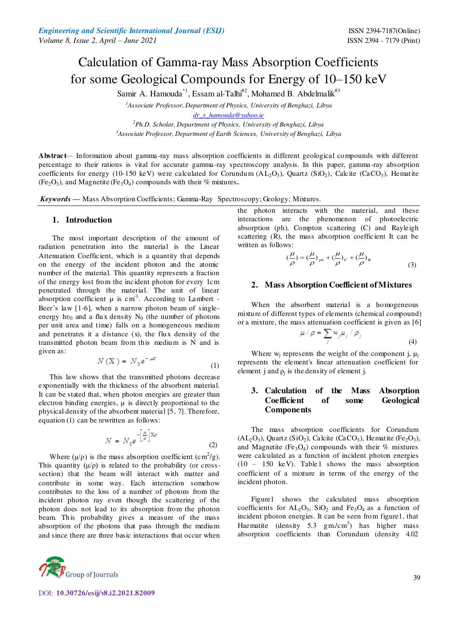# Calculation of Gamma-ray Mass Absorption Coefficients for some Geological Compounds for Energy of 10–150 keV

Samir A. Hamouda<sup>\*1</sup>, Essam al-Talhi<sup>#2</sup>, Mohamed B. Abdelmalik<sup>#3</sup>

*<sup>1</sup>Associate Professor, Department of Physics, University of Benghazi, Libya* 

*[dr\\_s\\_hamouda@yahoo.ie](mailto:dr_s_hamouda@yahoo.ie)*

*<sup>2</sup>Ph.D. Scholar, Department of Physics, University of Benghazi, Libya <sup>3</sup>Associate Professor, Department of Earth Sciences, University of Benghazi, Libya* 

**Abstract***—* Information about gamma-ray mass absorption coefficients in different geological compounds with different percentage to their rations is vital for accurate gamma-ray spectroscopy analysis. In this paper, gamma -ray absorption coefficients for energy (10-150 keV) were calculated for Corundum ( $AL_2O_3$ ), Quartz (SiO<sub>2</sub>), Calcite (CaCO<sub>3</sub>), Hematite  $(Fe<sub>2</sub>O<sub>3</sub>)$ , and Magnetite  $(Fe<sub>3</sub>O<sub>4</sub>)$  compounds with their % mixtures.

*Keywords* **—** Mass Absorption Coefficients; Gamma-Ray Spectroscopy; Geology; Mixtures*.* 

#### **1. Introduction**

 The most important description of the amount of radiation penetration into the material is the Linear Attenuation Coefficient, which is a quantity that depends on the energy of the incident photon and the atomic number of the material. This quantity represents a fraction of the energy lost from the incident photon for every 1cm penetrated through the material. The unit of linear absorption coefficient  $\mu$  is cm<sup>-1</sup>. According to Lambert -Beer's law [1-6], when a narrow photon beam of singleenergy hv<sub>0</sub> and a flux density  $N_0$  (the number of photons per unit area and time) falls on a homogeneous medium and penetrates it a distance (x), the flux density of the transmitted photon beam from this medium is N and is given as:

$$
N(X) = N_0 e^{-\mu x}
$$
 (1)

 This law shows that the transmitted photons decrease exponentially with the thickness of the absorbent material. It can be stated that, when photon energies are greater than electron binding energies,  $\mu$  is directly proportional to the physical density of the absorbent material [5, 7]. Therefore, equation (1) can be rewritten as follows:

$$
N = N_0 e^{-\left[\frac{\mu}{\rho}\right]X\rho}
$$
 (2)

Where  $(\mu/\rho)$  is the mass absorption coefficient (cm<sup>2</sup>/g). This quantity  $(\mu/\rho)$  is related to the probability (or crosssection) that the beam will interact with matter and contribute in some way. Each interaction somehow contributes to the loss of a number of photons from the incident photon ray even though the scattering of the photon does not lead to its absorption from the photon beam. This probability gives a measure of the mass absorption of the photons that pass through the medium and since there are three basic interactions that occur when



DOI: **10.30726/esij/v8.i2.2021.82009**

the photon interacts with the material, and these interactions are the phenomenon of photoelectric absorption (ph), Compton scattering (C) and Rayleigh scattering (R), the mass absorption coefficient It can be written as follows:

$$
\left(\frac{\mu}{\rho}\right) = \left(\frac{\mu}{\rho}\right)_{ph} + \left(\frac{\mu}{\rho}\right)_c + \left(\frac{\mu}{\rho}\right)_R\tag{3}
$$

## **2. Mass Absorption Coefficient of Mixtures**

When the absorbent material is a homogeneous mixture of different types of elements (chemical compound) or a mixture, the mass attenuation coefficient is given as [6]

$$
\mu / \rho = \sum_{j} w_{j} \mu_{j} / \rho_{j}
$$
\n(4)

Where  $w_j$  represents the weight of the component j,  $\mu_j$ represents the element's linear attenuation coefficient for element j and  $\rho_j$  is the density of element j.

# **3. Calculation of the Mass Absorption Coefficient of some Geological Components**

The mass absorption coefficients for Corundum  $(AL_2O_3)$ , Quartz  $(SiO_2)$ , Calcite  $(CaCO_3)$ , Hematite  $(Fe_2O_3)$ , and Magnetite (Fe<sub>3</sub>O<sub>4</sub>) compounds with their  $%$  mixtures were calculated as a function of incident photon energies (10 – 150 keV). Table1 shows the mass absorption coefficient of a mixture in terms of the energy of the incident photon.

Figure1 shows the calculated mass absorption coefficients for  $AL_2O_3$ ,  $SiO_2$  and  $Fe_3O_4$  as a function of incident photon energies. It can be seen from figure1, that Haematite (density 5.3  $gm/cm<sup>3</sup>$ ) has higher mass absorption coefficients than Corundum (density 4.02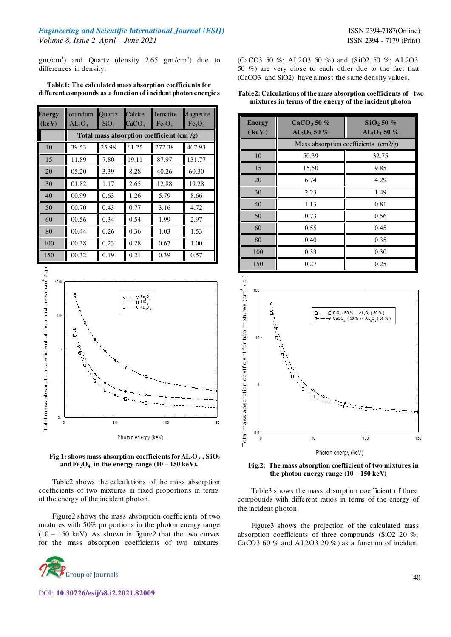# *Engineering and Scientific International Journal (ESIJ)* **ISSN 2394-7187(Online)** *Volume 8, Issue 2, April – June 2021* ISSN 2394 - 7179 (Print)

 $gm/cm<sup>3</sup>$ ) and Quartz (density 2.65 gm/cm<sup>3</sup>) due to differences in density.

**Table1: The calculated mass absorption coefficients for different compounds as a function of incident photon energies** 

| Energy | lorundum                                     | <b>Ouartz</b>    | Calcite           | Hematite                       | <i>A</i> agnetite              |
|--------|----------------------------------------------|------------------|-------------------|--------------------------------|--------------------------------|
| (keV)  | $AL_2O_3$                                    | SiO <sub>2</sub> | CaCO <sub>3</sub> | Fe <sub>2</sub> O <sub>3</sub> | Fe <sub>3</sub> O <sub>4</sub> |
|        | Total mass absorption coefficient $(cm^2/g)$ |                  |                   |                                |                                |
| 10     | 39.53                                        | 25.98            | 61.25             | 272.38                         | 407.93                         |
| 15     | 11.89                                        | 7.80             | 19.11             | 87.97                          | 131.77                         |
| 20     | 05.20                                        | 3.39             | 8.28              | 40.26                          | 60.30                          |
| 30     | 01.82                                        | 1.17             | 2.65              | 12.88                          | 19.28                          |
| 40     | 00.99                                        | 0.63             | 1.26              | 5.79                           | 8.66                           |
| 50     | 00.70                                        | 0.43             | 0.77              | 3.16                           | 4.72                           |
| 60     | 00.56                                        | 0.34             | 0.54              | 1.99                           | 2.97                           |
| 80     | 00.44                                        | 0.26             | 0.36              | 1.03                           | 1.53                           |
| 100    | 00.38                                        | 0.23             | 0.28              | 0.67                           | 1.00                           |
| 150    | 00.32                                        | 0.19             | 0.21              | 0.39                           | 0.57                           |





Table2 shows the calculations of the mass absorption coefficients of two mixtures in fixed proportions in terms of the energy of the incident photon.

Figure2 shows the mass absorption coefficients of two mixtures with 50% proportions in the photon energy range  $(10 - 150 \text{ keV})$ . As shown in figure2 that the two curves for the mass absorption coefficients of two mixtures

DOI: **10.30726/esij/v8.i2.2021.82009**

(CaCO3 50 %; AL2O3 50 %) and (SiO2 50 %; AL2O3 50 %) are very close to each other due to the fact that (CaCO3 and SiO2) have almost the same density values.

#### **Table2: Calculations of the mass absorption coefficients of two mixtures in terms of the energy of the incident photon**

| <b>Energy</b><br>(keV) | CaCO <sub>3</sub> 50%<br>$AL_2O_3 50 \%$    | SiO, 50%<br>$AL_2O_3 50 \%$ |  |
|------------------------|---------------------------------------------|-----------------------------|--|
|                        | Mass absorption coefficients $\text{cm2/g}$ |                             |  |
| 10                     | 50.39                                       | 32.75                       |  |
| 15                     | 15.50                                       | 9.85                        |  |
| 20                     | 6.74                                        | 4.29                        |  |
| 30                     | 2.23                                        | 1.49                        |  |
| 40                     | 1.13                                        | 0.81                        |  |
| 50                     | 0.73                                        | 0.56                        |  |
| 60                     | 0.55                                        | 0.45                        |  |
| 80                     | 0.40                                        | 0.35                        |  |
| 100                    | 0.33                                        | 0.30                        |  |
| 150                    | 0.27                                        | 0.25                        |  |



**Fig.2: The mass absorption coefficient of two mixtures in the photon energy range (10 – 150 keV)** 

Table3 shows the mass absorption coefficient of three compounds with different ratios in terms of the energy of the incident photon.

Figure3 shows the projection of the calculated mass absorption coefficients of three compounds (SiO2 20 %, CaCO3 60  $\%$  and AL2O3 20  $\%$ ) as a function of incident